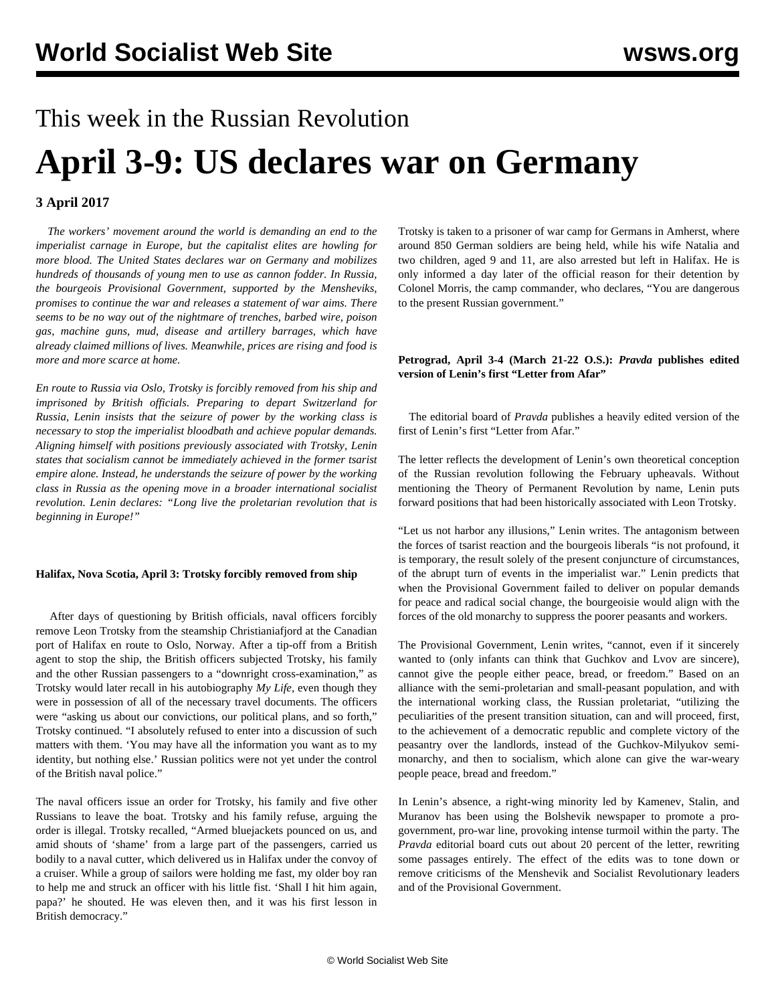# This week in the Russian Revolution **April 3-9: US declares war on Germany**

# **3 April 2017**

 *The workers' movement around the world is demanding an end to the imperialist carnage in Europe, but the capitalist elites are howling for more blood. The United States declares war on Germany and mobilizes hundreds of thousands of young men to use as cannon fodder. In Russia, the bourgeois Provisional Government, supported by the Mensheviks, promises to continue the war and releases a statement of war aims. There seems to be no way out of the nightmare of trenches, barbed wire, poison gas, machine guns, mud, disease and artillery barrages, which have already claimed millions of lives. Meanwhile, prices are rising and food is more and more scarce at home.*

*En route to Russia via Oslo, Trotsky is forcibly removed from his ship and imprisoned by British officials. Preparing to depart Switzerland for Russia, Lenin insists that the seizure of power by the working class is necessary to stop the imperialist bloodbath and achieve popular demands. Aligning himself with positions previously associated with Trotsky, Lenin states that socialism cannot be immediately achieved in the former tsarist empire alone. Instead, he understands the seizure of power by the working class in Russia as the opening move in a broader international socialist revolution. Lenin declares: "Long live the proletarian revolution that is beginning in Europe!"*

#### **Halifax, Nova Scotia, April 3: Trotsky forcibly removed from ship**

 After days of questioning by British officials, naval officers forcibly remove Leon Trotsky from the steamship Christianiafjord at the Canadian port of Halifax en route to Oslo, Norway. After a tip-off from a British agent to stop the ship, the British officers subjected Trotsky, his family and the other Russian passengers to a "downright cross-examination," as Trotsky would later recall in his autobiography *My Life*, even though they were in possession of all of the necessary travel documents. The officers were "asking us about our convictions, our political plans, and so forth," Trotsky continued. "I absolutely refused to enter into a discussion of such matters with them. 'You may have all the information you want as to my identity, but nothing else.' Russian politics were not yet under the control of the British naval police."

The naval officers issue an order for Trotsky, his family and five other Russians to leave the boat. Trotsky and his family refuse, arguing the order is illegal. Trotsky recalled, "Armed bluejackets pounced on us, and amid shouts of 'shame' from a large part of the passengers, carried us bodily to a naval cutter, which delivered us in Halifax under the convoy of a cruiser. While a group of sailors were holding me fast, my older boy ran to help me and struck an officer with his little fist. 'Shall I hit him again, papa?' he shouted. He was eleven then, and it was his first lesson in British democracy."

Trotsky is taken to a prisoner of war camp for Germans in Amherst, where around 850 German soldiers are being held, while his wife Natalia and two children, aged 9 and 11, are also arrested but left in Halifax. He is only informed a day later of the official reason for their detention by Colonel Morris, the camp commander, who declares, "You are dangerous to the present Russian government."

# **Petrograd, April 3-4 (March 21-22 O.S.):** *Pravda* **publishes edited version of Lenin's first "Letter from Afar"**

 The editorial board of *Pravda* publishes a heavily edited version of the first of Lenin's first "Letter from Afar."

The letter reflects the development of Lenin's own theoretical conception of the Russian revolution following the February upheavals. Without mentioning the Theory of Permanent Revolution by name, Lenin puts forward positions that had been historically associated with Leon Trotsky.

"Let us not harbor any illusions," Lenin writes. The antagonism between the forces of tsarist reaction and the bourgeois liberals "is not profound, it is temporary, the result solely of the present conjuncture of circumstances, of the abrupt turn of events in the imperialist war." Lenin predicts that when the Provisional Government failed to deliver on popular demands for peace and radical social change, the bourgeoisie would align with the forces of the old monarchy to suppress the poorer peasants and workers.

The Provisional Government, Lenin writes, "cannot, even if it sincerely wanted to (only infants can think that Guchkov and Lvov are sincere), cannot give the people either peace, bread, or freedom." Based on an alliance with the semi-proletarian and small-peasant population, and with the international working class, the Russian proletariat, "utilizing the peculiarities of the present transition situation, can and will proceed, first, to the achievement of a democratic republic and complete victory of the peasantry over the landlords, instead of the Guchkov-Milyukov semimonarchy, and then to socialism, which alone can give the war-weary people peace, bread and freedom."

In Lenin's absence, a right-wing minority led by Kamenev, Stalin, and Muranov has been using the Bolshevik newspaper to promote a progovernment, pro-war line, provoking intense turmoil within the party. The *Pravda* editorial board cuts out about 20 percent of the letter, rewriting some passages entirely. The effect of the edits was to tone down or remove criticisms of the Menshevik and Socialist Revolutionary leaders and of the Provisional Government.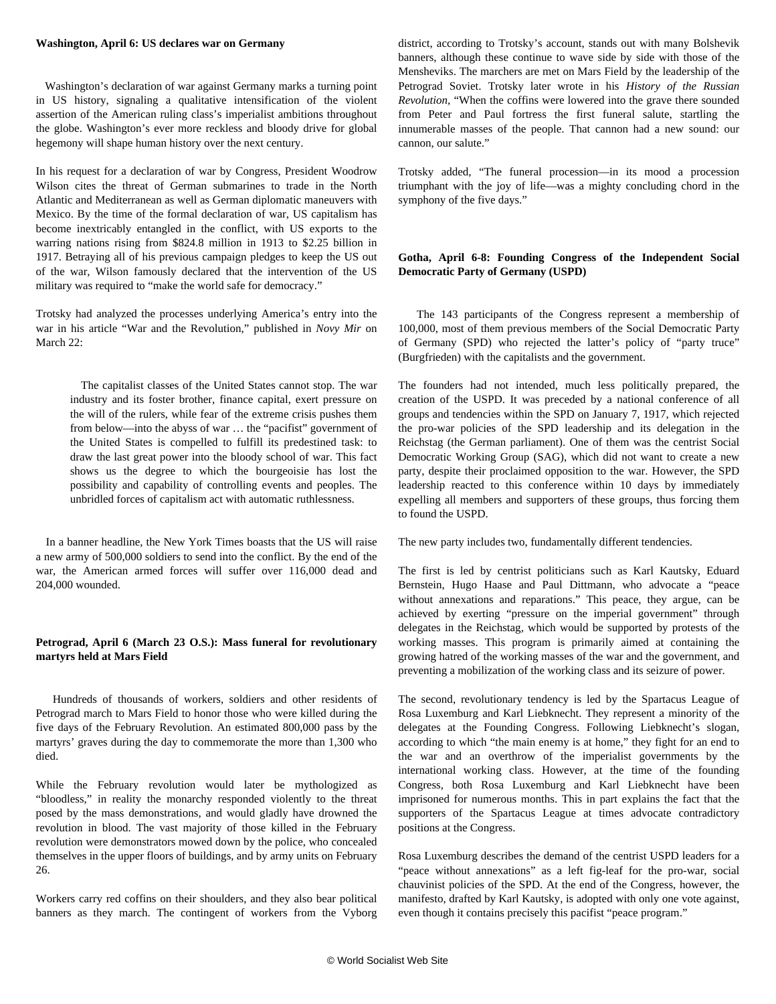#### **Washington, April 6: US declares war on Germany**

 Washington's declaration of war against Germany marks a turning point in US history, signaling a qualitative intensification of the violent assertion of the American ruling class's imperialist ambitions throughout the globe. Washington's ever more reckless and bloody drive for global hegemony will shape human history over the next century.

In his request for a declaration of war by Congress, President Woodrow Wilson cites the threat of German submarines to trade in the North Atlantic and Mediterranean as well as German diplomatic maneuvers with Mexico. By the time of the formal declaration of war, US capitalism has become inextricably entangled in the conflict, with US exports to the warring nations rising from \$824.8 million in 1913 to \$2.25 billion in 1917. Betraying all of his previous campaign pledges to keep the US out of the war, Wilson famously declared that the intervention of the US military was required to "make the world safe for democracy."

Trotsky had analyzed the processes underlying America's entry into the war in his article ["War and the Revolution](/en/articles/2017/03/27/ltes-m27.html)," published in *Novy Mir* on March 22:

 The capitalist classes of the United States cannot stop. The war industry and its foster brother, finance capital, exert pressure on the will of the rulers, while fear of the extreme crisis pushes them from below—into the abyss of war … the "pacifist" government of the United States is compelled to fulfill its predestined task: to draw the last great power into the bloody school of war. This fact shows us the degree to which the bourgeoisie has lost the possibility and capability of controlling events and peoples. The unbridled forces of capitalism act with automatic ruthlessness.

 In a banner headline, the New York Times boasts that the US will raise a new army of 500,000 soldiers to send into the conflict. By the end of the war, the American armed forces will suffer over 116,000 dead and 204,000 wounded.

# **Petrograd, April 6 (March 23 O.S.): Mass funeral for revolutionary martyrs held at Mars Field**

 Hundreds of thousands of workers, soldiers and other residents of Petrograd march to Mars Field to honor those who were killed during the five days of the February Revolution. An estimated 800,000 pass by the martyrs' graves during the day to commemorate the more than 1,300 who died.

While the February revolution would later be mythologized as "bloodless," in reality the monarchy responded violently to the threat posed by the mass demonstrations, and would gladly have drowned the revolution in blood. The vast majority of those killed in the February revolution were demonstrators mowed down by the police, who concealed themselves in the upper floors of buildings, and by army units on February 26.

Workers carry red coffins on their shoulders, and they also bear political banners as they march. The contingent of workers from the Vyborg district, according to Trotsky's account, stands out with many Bolshevik banners, although these continue to wave side by side with those of the Mensheviks. The marchers are met on Mars Field by the leadership of the Petrograd Soviet. Trotsky later wrote in his *History of the Russian Revolution*, "When the coffins were lowered into the grave there sounded from Peter and Paul fortress the first funeral salute, startling the innumerable masses of the people. That cannon had a new sound: our cannon, our salute."

Trotsky added, "The funeral procession—in its mood a procession triumphant with the joy of life—was a mighty concluding chord in the symphony of the five days."

# **Gotha, April 6-8: Founding Congress of the Independent Social Democratic Party of Germany (USPD)**

 The 143 participants of the Congress represent a membership of 100,000, most of them previous members of the Social Democratic Party of Germany (SPD) who rejected the latter's policy of "party truce" (Burgfrieden) with the capitalists and the government.

The founders had not intended, much less politically prepared, the creation of the USPD. It was preceded by a national conference of all groups and tendencies within the SPD on January 7, 1917, which rejected the pro-war policies of the SPD leadership and its delegation in the Reichstag (the German parliament). One of them was the centrist Social Democratic Working Group (SAG), which did not want to create a new party, despite their proclaimed opposition to the war. However, the SPD leadership reacted to this conference within 10 days by immediately expelling all members and supporters of these groups, thus forcing them to found the USPD.

The new party includes two, fundamentally different tendencies.

The first is led by centrist politicians such as Karl Kautsky, Eduard Bernstein, Hugo Haase and Paul Dittmann, who advocate a "peace without annexations and reparations." This peace, they argue, can be achieved by exerting "pressure on the imperial government" through delegates in the Reichstag, which would be supported by protests of the working masses. This program is primarily aimed at containing the growing hatred of the working masses of the war and the government, and preventing a mobilization of the working class and its seizure of power.

The second, revolutionary tendency is led by the Spartacus League of Rosa Luxemburg and Karl Liebknecht. They represent a minority of the delegates at the Founding Congress. Following Liebknecht's slogan, according to which "the main enemy is at home," they fight for an end to the war and an overthrow of the imperialist governments by the international working class. However, at the time of the founding Congress, both Rosa Luxemburg and Karl Liebknecht have been imprisoned for numerous months. This in part explains the fact that the supporters of the Spartacus League at times advocate contradictory positions at the Congress.

Rosa Luxemburg describes the demand of the centrist USPD leaders for a "peace without annexations" as a left fig-leaf for the pro-war, social chauvinist policies of the SPD. At the end of the Congress, however, the manifesto, drafted by Karl Kautsky, is adopted with only one vote against, even though it contains precisely this pacifist "peace program."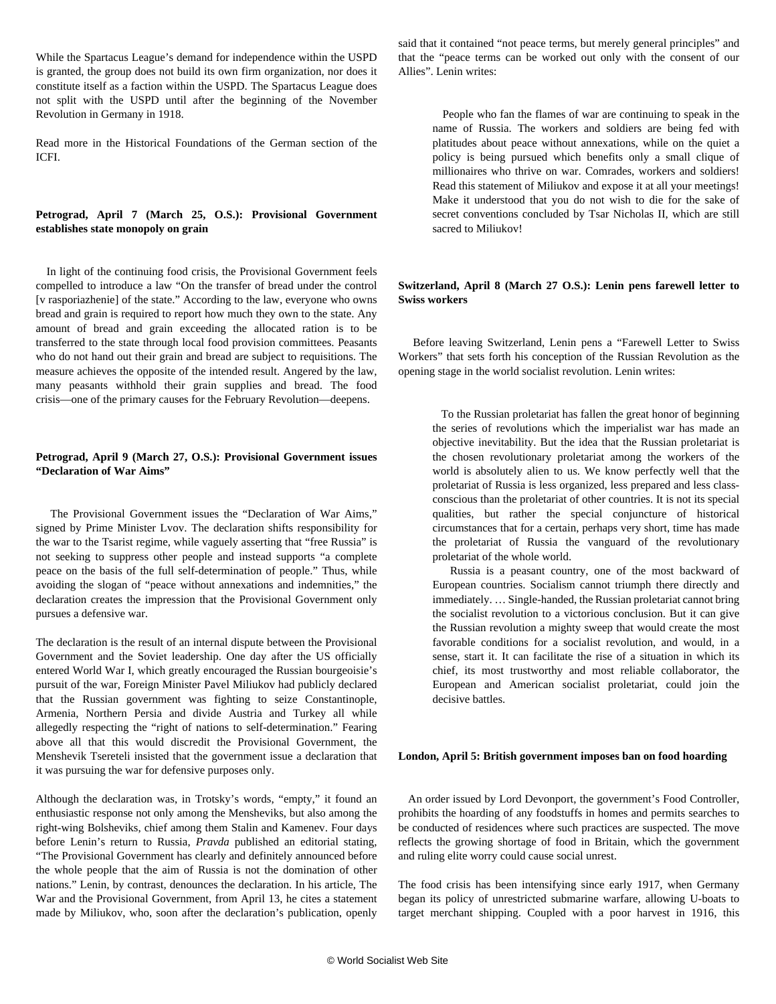While the Spartacus League's demand for independence within the USPD is granted, the group does not build its own firm organization, nor does it constitute itself as a faction within the USPD. The Spartacus League does not split with the USPD until after the beginning of the November Revolution in Germany in 1918.

[Read more](/en/articles/2010/09/psg2-s30.html) in the Historical Foundations of the German section of the ICFI.

# **Petrograd, April 7 (March 25, O.S.): Provisional Government establishes state monopoly on grain**

 In light of the continuing food crisis, the Provisional Government feels compelled to introduce a law "On the transfer of bread under the control [v rasporiazhenie] of the state." According to the law, everyone who owns bread and grain is required to report how much they own to the state. Any amount of bread and grain exceeding the allocated ration is to be transferred to the state through local food provision committees. Peasants who do not hand out their grain and bread are subject to requisitions. The measure achieves the opposite of the intended result. Angered by the law, many peasants withhold their grain supplies and bread. The food crisis—one of the primary causes for the February Revolution—deepens.

#### **Petrograd, April 9 (March 27, O.S.): Provisional Government issues "Declaration of War Aims"**

 The Provisional Government issues the "Declaration of War Aims," signed by Prime Minister Lvov. The declaration shifts responsibility for the war to the Tsarist regime, while vaguely asserting that "free Russia" is not seeking to suppress other people and instead supports "a complete peace on the basis of the full self-determination of people." Thus, while avoiding the slogan of "peace without annexations and indemnities," the declaration creates the impression that the Provisional Government only pursues a defensive war.

The declaration is the result of an internal dispute between the Provisional Government and the Soviet leadership. One day after the US officially entered World War I, which greatly encouraged the Russian bourgeoisie's pursuit of the war, Foreign Minister Pavel Miliukov had publicly declared that the Russian government was fighting to seize Constantinople, Armenia, Northern Persia and divide Austria and Turkey all while allegedly respecting the "right of nations to self-determination." Fearing above all that this would discredit the Provisional Government, the Menshevik Tsereteli insisted that the government issue a declaration that it was pursuing the war for defensive purposes only.

Although the declaration was, in Trotsky's words, "empty," it found an enthusiastic response not only among the Mensheviks, but also among the right-wing Bolsheviks, chief among them Stalin and Kamenev. Four days before Lenin's return to Russia, *Pravda* published an editorial stating, "The Provisional Government has clearly and definitely announced before the whole people that the aim of Russia is not the domination of other nations." Lenin, by contrast, denounces the declaration. In his article, The War and the Provisional Government, from April 13, he cites a statement made by Miliukov, who, soon after the declaration's publication, openly said that it contained "not peace terms, but merely general principles" and that the "peace terms can be worked out only with the consent of our Allies". Lenin writes:

 People who fan the flames of war are continuing to speak in the name of Russia. The workers and soldiers are being fed with platitudes about peace without annexations, while on the quiet a policy is being pursued which benefits only a small clique of millionaires who thrive on war. Comrades, workers and soldiers! Read this statement of Miliukov and expose it at all your meetings! Make it understood that you do not wish to die for the sake of secret conventions concluded by Tsar Nicholas II, which are still sacred to Miliukov!

#### **Switzerland, April 8 (March 27 O.S.): Lenin pens farewell letter to Swiss workers**

 Before leaving Switzerland, Lenin pens a "Farewell Letter to Swiss Workers" that sets forth his conception of the Russian Revolution as the opening stage in the world socialist revolution. Lenin writes:

 To the Russian proletariat has fallen the great honor of beginning the series of revolutions which the imperialist war has made an objective inevitability. But the idea that the Russian proletariat is the chosen revolutionary proletariat among the workers of the world is absolutely alien to us. We know perfectly well that the proletariat of Russia is less organized, less prepared and less classconscious than the proletariat of other countries. It is not its special qualities, but rather the special conjuncture of historical circumstances that for a certain, perhaps very short, time has made the proletariat of Russia the vanguard of the revolutionary proletariat of the whole world.

 Russia is a peasant country, one of the most backward of European countries. Socialism cannot triumph there directly and immediately. … Single-handed, the Russian proletariat cannot bring the socialist revolution to a victorious conclusion. But it can give the Russian revolution a mighty sweep that would create the most favorable conditions for a socialist revolution, and would, in a sense, start it. It can facilitate the rise of a situation in which its chief, its most trustworthy and most reliable collaborator, the European and American socialist proletariat, could join the decisive battles.

#### **London, April 5: British government imposes ban on food hoarding**

 An order issued by Lord Devonport, the government's Food Controller, prohibits the hoarding of any foodstuffs in homes and permits searches to be conducted of residences where such practices are suspected. The move reflects the growing shortage of food in Britain, which the government and ruling elite worry could cause social unrest.

The food crisis has been intensifying since early 1917, when Germany began its policy of unrestricted submarine warfare, allowing U-boats to target merchant shipping. Coupled with a poor harvest in 1916, this